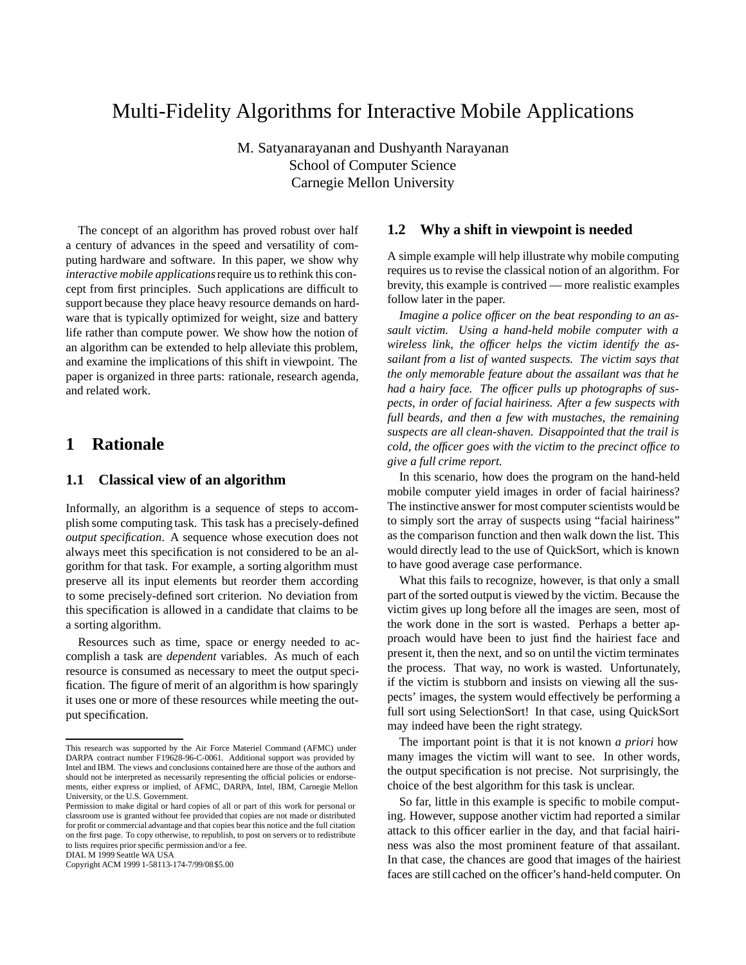# Multi-Fidelity Algorithms for Interactive Mobile Applications

M. Satyanarayanan and Dushyanth Narayanan School of Computer Science Carnegie Mellon University

The concept of an algorithm has proved robust over half a century of advances in the speed and versatility of computing hardware and software. In this paper, we show why *interactive mobile applications*require us to rethink this concept from first principles. Such applications are difficult to support because they place heavy resource demands on hardware that is typically optimized for weight, size and battery life rather than compute power. We show how the notion of an algorithm can be extended to help alleviate this problem, and examine the implications of this shift in viewpoint. The paper is organized in three parts: rationale, research agenda, and related work.

## **1 Rationale**

### **1.1 Classical view of an algorithm**

Informally, an algorithm is a sequence of steps to accomplish some computing task. This task has a precisely-defined *output specification*. A sequence whose execution does not always meet this specification is not considered to be an algorithm for that task. For example, a sorting algorithm must preserve all its input elements but reorder them according to some precisely-defined sort criterion. No deviation from this specification is allowed in a candidate that claims to be a sorting algorithm.

Resources such as time, space or energy needed to accomplish a task are *dependent* variables. As much of each resource is consumed as necessary to meet the output specification. The figure of merit of an algorithm is how sparingly it uses one or more of these resources while meeting the output specification.

DIAL M 1999 Seattle WA USA

#### **1.2 Why a shift in viewpoint is needed**

A simple example will help illustrate why mobile computing requires us to revise the classical notion of an algorithm. For brevity, this example is contrived — more realistic examples follow later in the paper.

*Imagine a police officer on the beat responding to an assault victim. Using a hand-held mobile computer with a wireless link, the officer helps the victim identify the assailant from a list of wanted suspects. The victim says that the only memorable feature about the assailant was that he had a hairy face. The officer pulls up photographs of suspects, in order of facial hairiness. After a few suspects with full beards, and then a few with mustaches, the remaining suspects are all clean-shaven. Disappointed that the trail is cold, the officer goes with the victim to the precinct office to give a full crime report.*

In this scenario, how does the program on the hand-held mobile computer yield images in order of facial hairiness? The instinctive answer for most computer scientists would be to simply sort the array of suspects using "facial hairiness" as the comparison function and then walk down the list. This would directly lead to the use of QuickSort, which is known to have good average case performance.

What this fails to recognize, however, is that only a small part of the sorted output is viewed by the victim. Because the victim gives up long before all the images are seen, most of the work done in the sort is wasted. Perhaps a better approach would have been to just find the hairiest face and present it, then the next, and so on until the victim terminates the process. That way, no work is wasted. Unfortunately, if the victim is stubborn and insists on viewing all the suspects' images, the system would effectively be performing a full sort using SelectionSort! In that case, using QuickSort may indeed have been the right strategy.

The important point is that it is not known *a priori* how many images the victim will want to see. In other words, the output specification is not precise. Not surprisingly, the choice of the best algorithm for this task is unclear.

So far, little in this example is specific to mobile computing. However, suppose another victim had reported a similar attack to this officer earlier in the day, and that facial hairiness was also the most prominent feature of that assailant. In that case, the chances are good that images of the hairiest faces are still cached on the officer's hand-held computer. On

This research was supported by the Air Force Materiel Command (AFMC) under DARPA contract number F19628-96-C-0061. Additional support was provided by Intel and IBM. The views and conclusions contained here are those of the authors and should not be interpreted as necessarily representing the official policies or endorsements, either express or implied, of AFMC, DARPA, Intel, IBM, Carnegie Mellon University, or the U.S. Government.

Permission to make digital or hard copies of all or part of this work for personal or classroom use is granted without fee provided that copies are not made or distributed for profit or commercial advantage and that copies bear this notice and the full citation on the first page. To copy otherwise, to republish, to post on servers or to redistribute to lists requires prior specific permission and/or a fee.

Copyright ACM 1999 1-58113-174-7/99/08\$5.00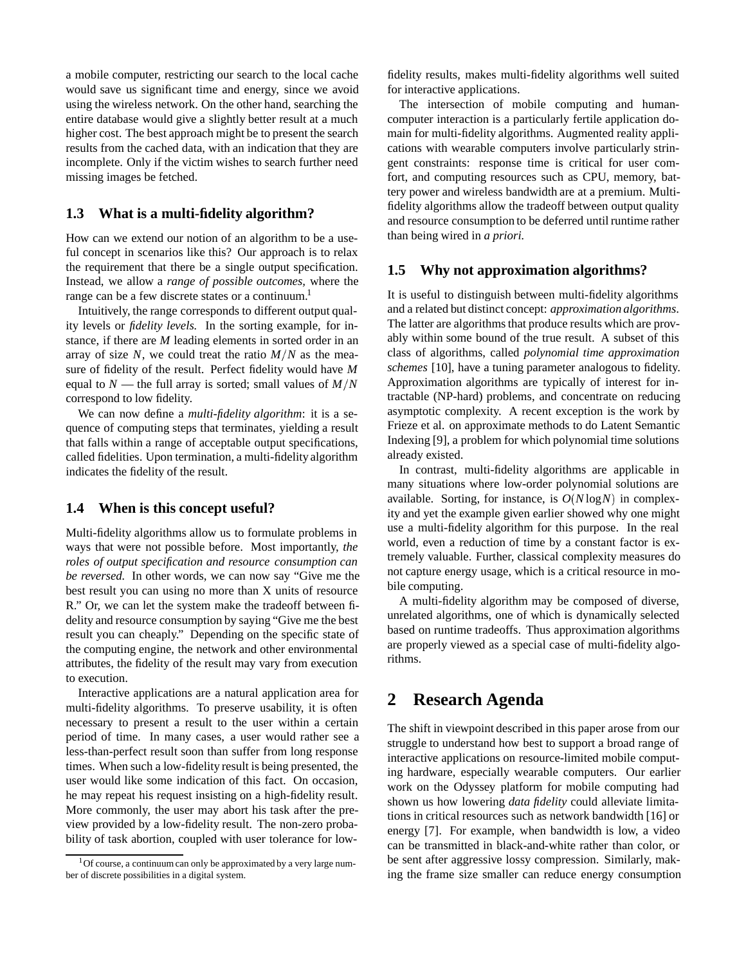a mobile computer, restricting our search to the local cache would save us significant time and energy, since we avoid using the wireless network. On the other hand, searching the entire database would give a slightly better result at a much higher cost. The best approach might be to present the search results from the cached data, with an indication that they are incomplete. Only if the victim wishes to search further need missing images be fetched.

### **1.3 What is a multi-fidelity algorithm?**

How can we extend our notion of an algorithm to be a useful concept in scenarios like this? Our approach is to relax the requirement that there be a single output specification. Instead, we allow a *range of possible outcomes,* where the range can be a few discrete states or a continuum.<sup>1</sup>

Intuitively, the range corresponds to different output quality levels or *fidelity levels.* In the sorting example, for instance, if there are *M* leading elements in sorted order in an array of size *N*, we could treat the ratio  $M/N$  as the measure of fidelity of the result. Perfect fidelity would have *M* equal to *N* — the full array is sorted; small values of  $M/N$ correspond to low fidelity.

We can now define a *multi-fidelity algorithm*: it is a sequence of computing steps that terminates, yielding a result that falls within a range of acceptable output specifications, called fidelities. Upon termination, a multi-fidelity algorithm indicates the fidelity of the result.

#### **1.4 When is this concept useful?**

Multi-fidelity algorithms allow us to formulate problems in ways that were not possible before. Most importantly, *the roles of output specification and resource consumption can be reversed.* In other words, we can now say "Give me the best result you can using no more than X units of resource R." Or, we can let the system make the tradeoff between fidelity and resource consumption by saying "Give me the best result you can cheaply." Depending on the specific state of the computing engine, the network and other environmental attributes, the fidelity of the result may vary from execution to execution.

Interactive applications are a natural application area for multi-fidelity algorithms. To preserve usability, it is often necessary to present a result to the user within a certain period of time. In many cases, a user would rather see a less-than-perfect result soon than suffer from long response times. When such a low-fidelity result is being presented, the user would like some indication of this fact. On occasion, he may repeat his request insisting on a high-fidelity result. More commonly, the user may abort his task after the preview provided by a low-fidelity result. The non-zero probability of task abortion, coupled with user tolerance for lowfidelity results, makes multi-fidelity algorithms well suited for interactive applications.

The intersection of mobile computing and humancomputer interaction is a particularly fertile application domain for multi-fidelity algorithms. Augmented reality applications with wearable computers involve particularly stringent constraints: response time is critical for user comfort, and computing resources such as CPU, memory, battery power and wireless bandwidth are at a premium. Multifidelity algorithms allow the tradeoff between output quality and resource consumption to be deferred until runtime rather than being wired in *a priori.*

#### **1.5 Why not approximation algorithms?**

It is useful to distinguish between multi-fidelity algorithms and a related but distinct concept: *approximation algorithms*. The latter are algorithms that produce results which are provably within some bound of the true result. A subset of this class of algorithms, called *polynomial time approximation schemes* [10], have a tuning parameter analogous to fidelity. Approximation algorithms are typically of interest for intractable (NP-hard) problems, and concentrate on reducing asymptotic complexity. A recent exception is the work by Frieze et al. on approximate methods to do Latent Semantic Indexing [9], a problem for which polynomial time solutions already existed.

In contrast, multi-fidelity algorithms are applicable in many situations where low-order polynomial solutions are available. Sorting, for instance, is  $O(N \log N)$  in complexity and yet the example given earlier showed why one might use a multi-fidelity algorithm for this purpose. In the real world, even a reduction of time by a constant factor is extremely valuable. Further, classical complexity measures do not capture energy usage, which is a critical resource in mobile computing.

A multi-fidelity algorithm may be composed of diverse, unrelated algorithms, one of which is dynamically selected based on runtime tradeoffs. Thus approximation algorithms are properly viewed as a special case of multi-fidelity algorithms.

## **2 Research Agenda**

The shift in viewpoint described in this paper arose from our struggle to understand how best to support a broad range of interactive applications on resource-limited mobile computing hardware, especially wearable computers. Our earlier work on the Odyssey platform for mobile computing had shown us how lowering *data fidelity* could alleviate limitations in critical resources such as network bandwidth [16] or energy [7]. For example, when bandwidth is low, a video can be transmitted in black-and-white rather than color, or be sent after aggressive lossy compression. Similarly, making the frame size smaller can reduce energy consumption

<sup>1</sup>Of course, a continuum can only be approximated by a very large number of discrete possibilities in a digital system.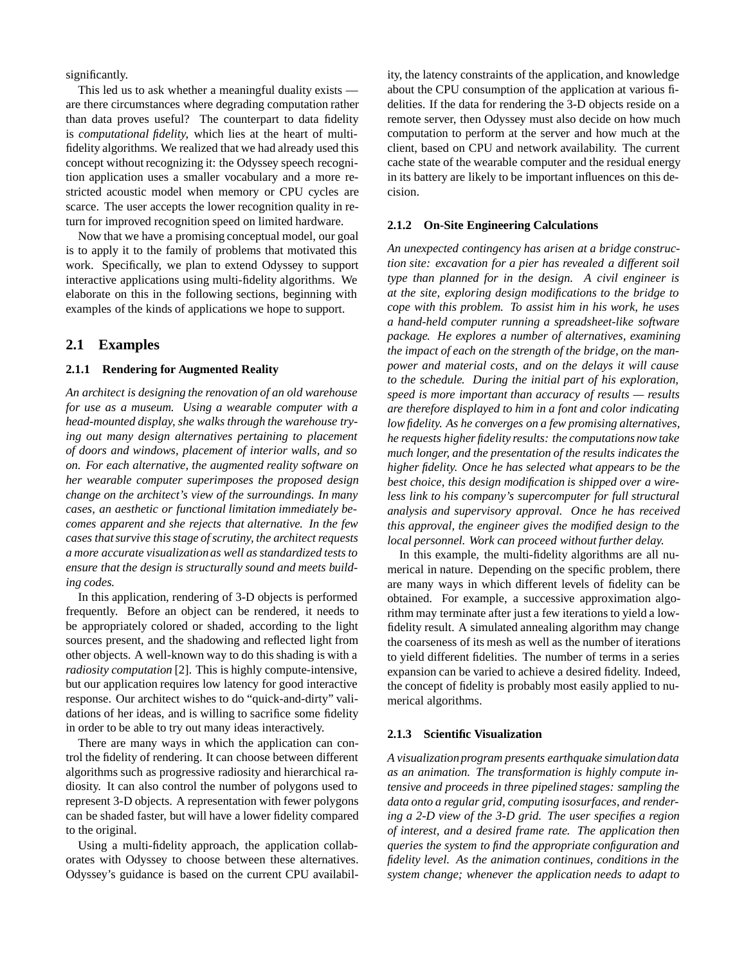significantly.

This led us to ask whether a meaningful duality exists are there circumstances where degrading computation rather than data proves useful? The counterpart to data fidelity is *computational fidelity,* which lies at the heart of multifidelity algorithms. We realized that we had already used this concept without recognizing it: the Odyssey speech recognition application uses a smaller vocabulary and a more restricted acoustic model when memory or CPU cycles are scarce. The user accepts the lower recognition quality in return for improved recognition speed on limited hardware.

Now that we have a promising conceptual model, our goal is to apply it to the family of problems that motivated this work. Specifically, we plan to extend Odyssey to support interactive applications using multi-fidelity algorithms. We elaborate on this in the following sections, beginning with examples of the kinds of applications we hope to support.

### **2.1 Examples**

#### **2.1.1 Rendering for Augmented Reality**

*An architect is designing the renovation of an old warehouse for use as a museum. Using a wearable computer with a head-mounted display, she walks through the warehouse trying out many design alternatives pertaining to placement of doors and windows, placement of interior walls, and so on. For each alternative, the augmented reality software on her wearable computer superimposes the proposed design change on the architect's view of the surroundings. In many cases, an aesthetic or functional limitation immediately becomes apparent and she rejects that alternative. In the few cases that survive this stage of scrutiny, the architect requests a more accurate visualizationas well as standardized tests to ensure that the design is structurally sound and meets building codes.*

In this application, rendering of 3-D objects is performed frequently. Before an object can be rendered, it needs to be appropriately colored or shaded, according to the light sources present, and the shadowing and reflected light from other objects. A well-known way to do this shading is with a *radiosity computation* [2]. This is highly compute-intensive, but our application requires low latency for good interactive response. Our architect wishes to do "quick-and-dirty" validations of her ideas, and is willing to sacrifice some fidelity in order to be able to try out many ideas interactively.

There are many ways in which the application can control the fidelity of rendering. It can choose between different algorithms such as progressive radiosity and hierarchical radiosity. It can also control the number of polygons used to represent 3-D objects. A representation with fewer polygons can be shaded faster, but will have a lower fidelity compared to the original.

Using a multi-fidelity approach, the application collaborates with Odyssey to choose between these alternatives. Odyssey's guidance is based on the current CPU availabil-

ity, the latency constraints of the application, and knowledge about the CPU consumption of the application at various fidelities. If the data for rendering the 3-D objects reside on a remote server, then Odyssey must also decide on how much computation to perform at the server and how much at the client, based on CPU and network availability. The current cache state of the wearable computer and the residual energy in its battery are likely to be important influences on this decision.

#### **2.1.2 On-Site Engineering Calculations**

*An unexpected contingency has arisen at a bridge construction site: excavation for a pier has revealed a different soil type than planned for in the design. A civil engineer is at the site, exploring design modifications to the bridge to cope with this problem. To assist him in his work, he uses a hand-held computer running a spreadsheet-like software package. He explores a number of alternatives, examining the impact of each on the strength of the bridge, on the manpower and material costs, and on the delays it will cause to the schedule. During the initial part of his exploration, speed is more important than accuracy of results — results are therefore displayed to him in a font and color indicating low fidelity. As he converges on a few promising alternatives, he requests higher fidelity results: the computations now take much longer, and the presentation of the results indicates the higher fidelity. Once he has selected what appears to be the best choice, this design modification is shipped over a wireless link to his company's supercomputer for full structural analysis and supervisory approval. Once he has received this approval, the engineer gives the modified design to the local personnel. Work can proceed without further delay.*

In this example, the multi-fidelity algorithms are all numerical in nature. Depending on the specific problem, there are many ways in which different levels of fidelity can be obtained. For example, a successive approximation algorithm may terminate after just a few iterations to yield a lowfidelity result. A simulated annealing algorithm may change the coarseness of its mesh as well as the number of iterations to yield different fidelities. The number of terms in a series expansion can be varied to achieve a desired fidelity. Indeed, the concept of fidelity is probably most easily applied to numerical algorithms.

#### **2.1.3 Scientific Visualization**

*A visualizationprogram presents earthquake simulationdata as an animation. The transformation is highly compute intensive and proceeds in three pipelined stages: sampling the data onto a regular grid, computing isosurfaces, and rendering a 2-D view of the 3-D grid. The user specifies a region of interest, and a desired frame rate. The application then queries the system to find the appropriate configuration and fidelity level. As the animation continues, conditions in the system change; whenever the application needs to adapt to*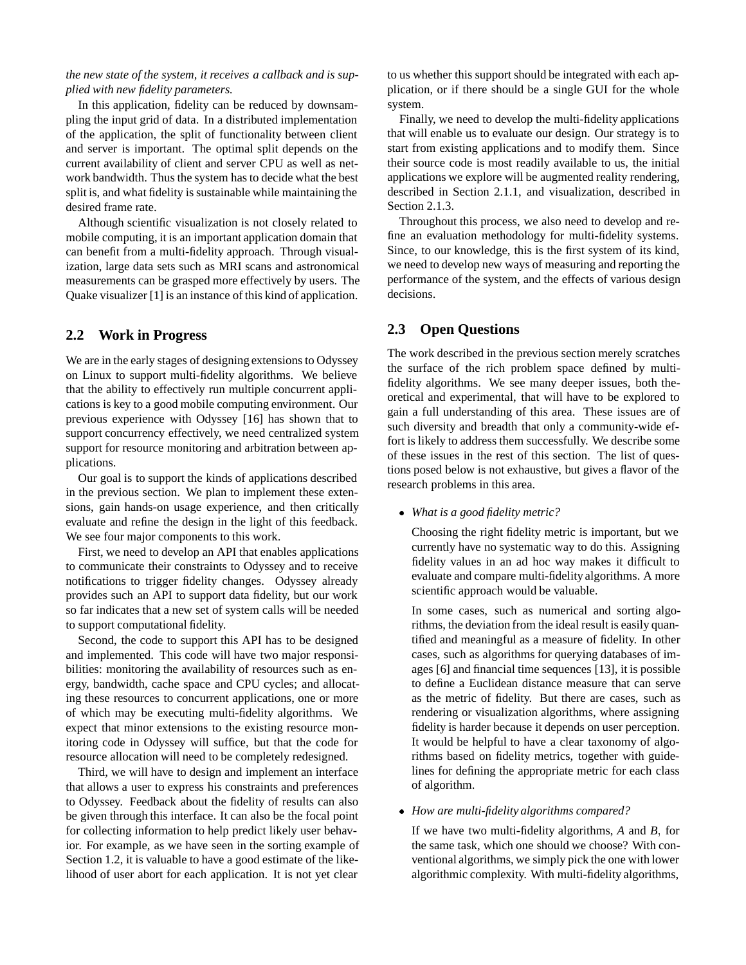*the new state of the system, it receives a callback and is supplied with new fidelity parameters.*

In this application, fidelity can be reduced by downsampling the input grid of data. In a distributed implementation of the application, the split of functionality between client and server is important. The optimal split depends on the current availability of client and server CPU as well as network bandwidth. Thus the system has to decide what the best split is, and what fidelity is sustainable while maintaining the desired frame rate.

Although scientific visualization is not closely related to mobile computing, it is an important application domain that can benefit from a multi-fidelity approach. Through visualization, large data sets such as MRI scans and astronomical measurements can be grasped more effectively by users. The Quake visualizer [1] is an instance of this kind of application.

### **2.2 Work in Progress**

We are in the early stages of designing extensions to Odyssey on Linux to support multi-fidelity algorithms. We believe that the ability to effectively run multiple concurrent applications is key to a good mobile computing environment. Our previous experience with Odyssey [16] has shown that to support concurrency effectively, we need centralized system support for resource monitoring and arbitration between applications.

Our goal is to support the kinds of applications described in the previous section. We plan to implement these extensions, gain hands-on usage experience, and then critically evaluate and refine the design in the light of this feedback. We see four major components to this work.

First, we need to develop an API that enables applications to communicate their constraints to Odyssey and to receive notifications to trigger fidelity changes. Odyssey already provides such an API to support data fidelity, but our work so far indicates that a new set of system calls will be needed to support computational fidelity.

Second, the code to support this API has to be designed and implemented. This code will have two major responsibilities: monitoring the availability of resources such as energy, bandwidth, cache space and CPU cycles; and allocating these resources to concurrent applications, one or more of which may be executing multi-fidelity algorithms. We expect that minor extensions to the existing resource monitoring code in Odyssey will suffice, but that the code for resource allocation will need to be completely redesigned.

Third, we will have to design and implement an interface that allows a user to express his constraints and preferences to Odyssey. Feedback about the fidelity of results can also be given through this interface. It can also be the focal point for collecting information to help predict likely user behavior. For example, as we have seen in the sorting example of Section 1.2, it is valuable to have a good estimate of the likelihood of user abort for each application. It is not yet clear

to us whether this support should be integrated with each application, or if there should be a single GUI for the whole system.

Finally, we need to develop the multi-fidelity applications that will enable us to evaluate our design. Our strategy is to start from existing applications and to modify them. Since their source code is most readily available to us, the initial applications we explore will be augmented reality rendering, described in Section 2.1.1, and visualization, described in Section 2.1.3.

Throughout this process, we also need to develop and refine an evaluation methodology for multi-fidelity systems. Since, to our knowledge, this is the first system of its kind, we need to develop new ways of measuring and reporting the performance of the system, and the effects of various design decisions.

### **2.3 Open Questions**

The work described in the previous section merely scratches the surface of the rich problem space defined by multifidelity algorithms. We see many deeper issues, both theoretical and experimental, that will have to be explored to gain a full understanding of this area. These issues are of such diversity and breadth that only a community-wide effort is likely to address them successfully. We describe some of these issues in the rest of this section. The list of questions posed below is not exhaustive, but gives a flavor of the research problems in this area.

*What is a good fidelity metric?*

Choosing the right fidelity metric is important, but we currently have no systematic way to do this. Assigning fidelity values in an ad hoc way makes it difficult to evaluate and compare multi-fidelity algorithms. A more scientific approach would be valuable.

In some cases, such as numerical and sorting algorithms, the deviation from the ideal result is easily quantified and meaningful as a measure of fidelity. In other cases, such as algorithms for querying databases of images [6] and financial time sequences [13], it is possible to define a Euclidean distance measure that can serve as the metric of fidelity. But there are cases, such as rendering or visualization algorithms, where assigning fidelity is harder because it depends on user perception. It would be helpful to have a clear taxonomy of algorithms based on fidelity metrics, together with guidelines for defining the appropriate metric for each class of algorithm.

*How are multi-fidelity algorithms compared?*

If we have two multi-fidelity algorithms, *A* and *B*; for the same task, which one should we choose? With conventional algorithms, we simply pick the one with lower algorithmic complexity. With multi-fidelity algorithms,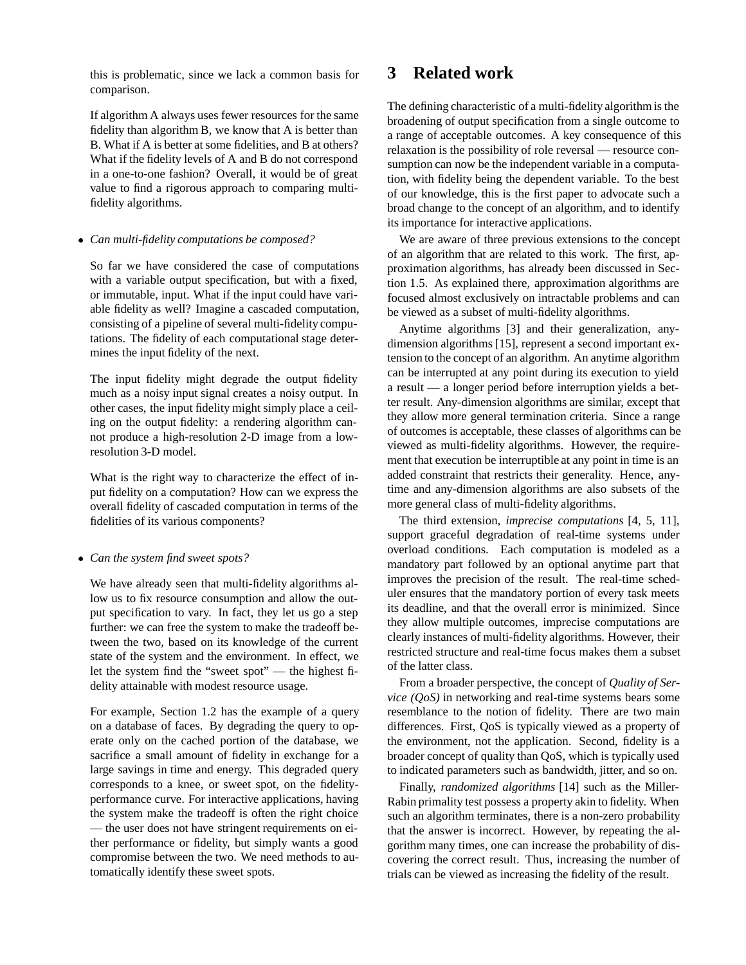this is problematic, since we lack a common basis for comparison.

If algorithm A always uses fewer resources for the same fidelity than algorithm B, we know that A is better than B. What if A is better at some fidelities, and B at others? What if the fidelity levels of A and B do not correspond in a one-to-one fashion? Overall, it would be of great value to find a rigorous approach to comparing multifidelity algorithms.

#### *Can multi-fidelity computations be composed?*

So far we have considered the case of computations with a variable output specification, but with a fixed, or immutable, input. What if the input could have variable fidelity as well? Imagine a cascaded computation, consisting of a pipeline of several multi-fidelity computations. The fidelity of each computational stage determines the input fidelity of the next.

The input fidelity might degrade the output fidelity much as a noisy input signal creates a noisy output. In other cases, the input fidelity might simply place a ceiling on the output fidelity: a rendering algorithm cannot produce a high-resolution 2-D image from a lowresolution 3-D model.

What is the right way to characterize the effect of input fidelity on a computation? How can we express the overall fidelity of cascaded computation in terms of the fidelities of its various components?

#### *Can the system find sweet spots?*

We have already seen that multi-fidelity algorithms allow us to fix resource consumption and allow the output specification to vary. In fact, they let us go a step further: we can free the system to make the tradeoff between the two, based on its knowledge of the current state of the system and the environment. In effect, we let the system find the "sweet spot" — the highest fidelity attainable with modest resource usage.

For example, Section 1.2 has the example of a query on a database of faces. By degrading the query to operate only on the cached portion of the database, we sacrifice a small amount of fidelity in exchange for a large savings in time and energy. This degraded query corresponds to a knee, or sweet spot, on the fidelityperformance curve. For interactive applications, having the system make the tradeoff is often the right choice — the user does not have stringent requirements on either performance or fidelity, but simply wants a good compromise between the two. We need methods to automatically identify these sweet spots.

## **3 Related work**

The defining characteristic of a multi-fidelity algorithm is the broadening of output specification from a single outcome to a range of acceptable outcomes. A key consequence of this relaxation is the possibility of role reversal — resource consumption can now be the independent variable in a computation, with fidelity being the dependent variable. To the best of our knowledge, this is the first paper to advocate such a broad change to the concept of an algorithm, and to identify its importance for interactive applications.

We are aware of three previous extensions to the concept of an algorithm that are related to this work. The first, approximation algorithms, has already been discussed in Section 1.5. As explained there, approximation algorithms are focused almost exclusively on intractable problems and can be viewed as a subset of multi-fidelity algorithms.

Anytime algorithms [3] and their generalization, anydimension algorithms [15], represent a second important extension to the concept of an algorithm. An anytime algorithm can be interrupted at any point during its execution to yield a result — a longer period before interruption yields a better result. Any-dimension algorithms are similar, except that they allow more general termination criteria. Since a range of outcomes is acceptable, these classes of algorithms can be viewed as multi-fidelity algorithms. However, the requirement that execution be interruptible at any point in time is an added constraint that restricts their generality. Hence, anytime and any-dimension algorithms are also subsets of the more general class of multi-fidelity algorithms.

The third extension, *imprecise computations* [4, 5, 11], support graceful degradation of real-time systems under overload conditions. Each computation is modeled as a mandatory part followed by an optional anytime part that improves the precision of the result. The real-time scheduler ensures that the mandatory portion of every task meets its deadline, and that the overall error is minimized. Since they allow multiple outcomes, imprecise computations are clearly instances of multi-fidelity algorithms. However, their restricted structure and real-time focus makes them a subset of the latter class.

From a broader perspective, the concept of *Quality of Service (QoS)* in networking and real-time systems bears some resemblance to the notion of fidelity. There are two main differences. First, QoS is typically viewed as a property of the environment, not the application. Second, fidelity is a broader concept of quality than QoS, which is typically used to indicated parameters such as bandwidth, jitter, and so on.

Finally, *randomized algorithms* [14] such as the Miller-Rabin primality test possess a property akin to fidelity. When such an algorithm terminates, there is a non-zero probability that the answer is incorrect. However, by repeating the algorithm many times, one can increase the probability of discovering the correct result. Thus, increasing the number of trials can be viewed as increasing the fidelity of the result.